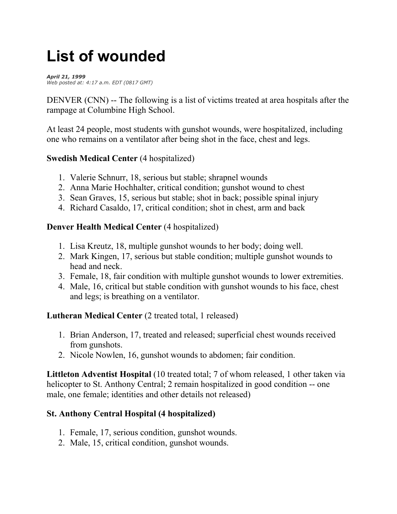# **List of wounded**

*April 21, 1999 Web posted at: 4:17 a.m. EDT (0817 GMT)*

DENVER (CNN) -- The following is a list of victims treated at area hospitals after the rampage at Columbine High School.

At least 24 people, most students with gunshot wounds, were hospitalized, including one who remains on a ventilator after being shot in the face, chest and legs.

### **Swedish Medical Center** (4 hospitalized)

- 1. Valerie Schnurr, 18, serious but stable; shrapnel wounds
- 2. Anna Marie Hochhalter, critical condition; gunshot wound to chest
- 3. Sean Graves, 15, serious but stable; shot in back; possible spinal injury
- 4. Richard Casaldo, 17, critical condition; shot in chest, arm and back

### **Denver Health Medical Center** (4 hospitalized)

- 1. Lisa Kreutz, 18, multiple gunshot wounds to her body; doing well.
- 2. Mark Kingen, 17, serious but stable condition; multiple gunshot wounds to head and neck.
- 3. Female, 18, fair condition with multiple gunshot wounds to lower extremities.
- 4. Male, 16, critical but stable condition with gunshot wounds to his face, chest and legs; is breathing on a ventilator.

### **Lutheran Medical Center** (2 treated total, 1 released)

- 1. Brian Anderson, 17, treated and released; superficial chest wounds received from gunshots.
- 2. Nicole Nowlen, 16, gunshot wounds to abdomen; fair condition.

**Littleton Adventist Hospital** (10 treated total; 7 of whom released, 1 other taken via helicopter to St. Anthony Central; 2 remain hospitalized in good condition -- one male, one female; identities and other details not released)

### **St. Anthony Central Hospital (4 hospitalized)**

- 1. Female, 17, serious condition, gunshot wounds.
- 2. Male, 15, critical condition, gunshot wounds.